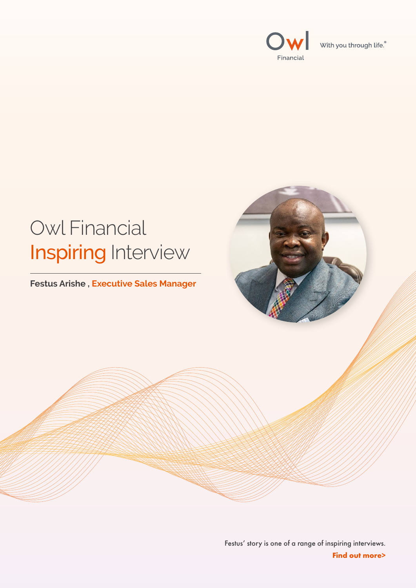



#### Festus' story is one of a range of inspiring interviews. **Find out more>**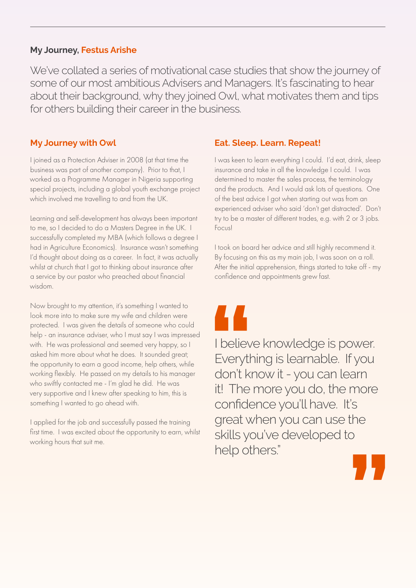We've collated a series of motivational case studies that show the journey of some of our most ambitious Advisers and Managers. It's fascinating to hear about their background, why they joined Owl, what motivates them and tips for others building their career in the business.

# **My Journey, Festus Arishe**

I joined as a Protection Adviser in 2008 (at that time the business was part of another company). Prior to that, I worked as a Programme Manager in Nigeria supporting special projects, including a global youth exchange project which involved me travelling to and from the UK.

**My Journey with Owl**

Learning and self-development has always been important to me, so I decided to do a Masters Degree in the UK. I successfully completed my MBA (which follows a degree I had in Agriculture Economics). Insurance wasn't something I'd thought about doing as a career. In fact, it was actually whilst at church that I got to thinking about insurance after a service by our pastor who preached about financial wisdom.

I applied for the job and successfully passed the training first time. I was excited about the opportunity to earn, whilst working hours that suit me.



Now brought to my attention, it's something I wanted to look more into to make sure my wife and children were protected. I was given the details of someone who could help - an insurance adviser, who I must say I was impressed with. He was professional and seemed very happy, so I asked him more about what he does. It sounded great; the opportunity to earn a good income, help others, while working flexibly. He passed on my details to his manager who swiftly contacted me - I'm glad he did. He was very supportive and I knew after speaking to him, this is something I wanted to go ahead with.

**Subdiev**<br> **Everyth**<br> **Conting to the don't kill The** ne<br>,<br>,<br>,<br>,<br>,<br>, I believe knowledge is power. Everything is learnable. If you don't know it - you can learn it! The more you do, the more confidence you'll have. It's great when you can use the skills you've developed to help others."



**Eat. Sleep. Learn. Repeat!**

I was keen to learn everything I could. I'd eat, drink, sleep insurance and take in all the knowledge I could. I was determined to master the sales process, the terminology and the products. And I would ask lots of questions. One of the best advice I got when starting out was from an experienced adviser who said 'don't get distracted'. Don't try to be a master of different trades, e.g. with 2 or 3 jobs. Focus!

I took on board her advice and still highly recommend it. By focusing on this as my main job, I was soon on a roll. After the initial apprehension, things started to take off - my confidence and appointments grew fast.